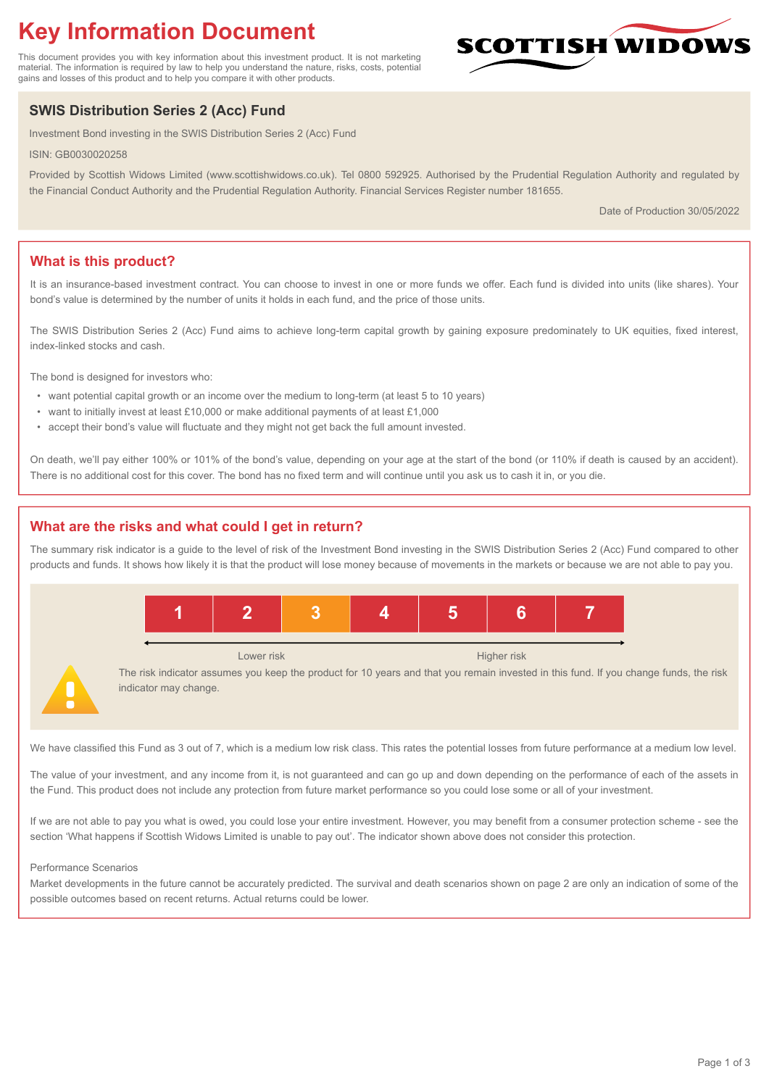# **Key Information Document**

This document provides you with key information about this investment product. It is not marketing material. The information is required by law to help you understand the nature, risks, costs, potential gains and losses of this product and to help you compare it with other products.

# **SWIS Distribution Series 2 (Acc) Fund**

Investment Bond investing in the SWIS Distribution Series 2 (Acc) Fund

ISIN: GB0030020258

Provided by Scottish Widows Limited (www.scottishwidows.co.uk). Tel 0800 592925. Authorised by the Prudential Regulation Authority and regulated by the Financial Conduct Authority and the Prudential Regulation Authority. Financial Services Register number 181655.

Date of Production 30/05/2022

**SCOTTISH WIDOW** 

# **What is this product?**

It is an insurance-based investment contract. You can choose to invest in one or more funds we offer. Each fund is divided into units (like shares). Your bond's value is determined by the number of units it holds in each fund, and the price of those units.

The SWIS Distribution Series 2 (Acc) Fund aims to achieve long-term capital growth by gaining exposure predominately to UK equities, fixed interest, index-linked stocks and cash.

The bond is designed for investors who:

- want potential capital growth or an income over the medium to long-term (at least 5 to 10 years)
- want to initially invest at least £10,000 or make additional payments of at least £1,000
- accept their bond's value will fluctuate and they might not get back the full amount invested.

On death, we'll pay either 100% or 101% of the bond's value, depending on your age at the start of the bond (or 110% if death is caused by an accident). There is no additional cost for this cover. The bond has no fixed term and will continue until you ask us to cash it in, or you die.

# **What are the risks and what could I get in return?**

The summary risk indicator is a guide to the level of risk of the Investment Bond investing in the SWIS Distribution Series 2 (Acc) Fund compared to other products and funds. It shows how likely it is that the product will lose money because of movements in the markets or because we are not able to pay you.



We have classified this Fund as 3 out of 7, which is a medium low risk class. This rates the potential losses from future performance at a medium low level.

The value of your investment, and any income from it, is not guaranteed and can go up and down depending on the performance of each of the assets in the Fund. This product does not include any protection from future market performance so you could lose some or all of your investment.

If we are not able to pay you what is owed, you could lose your entire investment. However, you may benefit from a consumer protection scheme - see the section 'What happens if Scottish Widows Limited is unable to pay out'. The indicator shown above does not consider this protection.

#### Performance Scenarios

Market developments in the future cannot be accurately predicted. The survival and death scenarios shown on page 2 are only an indication of some of the possible outcomes based on recent returns. Actual returns could be lower.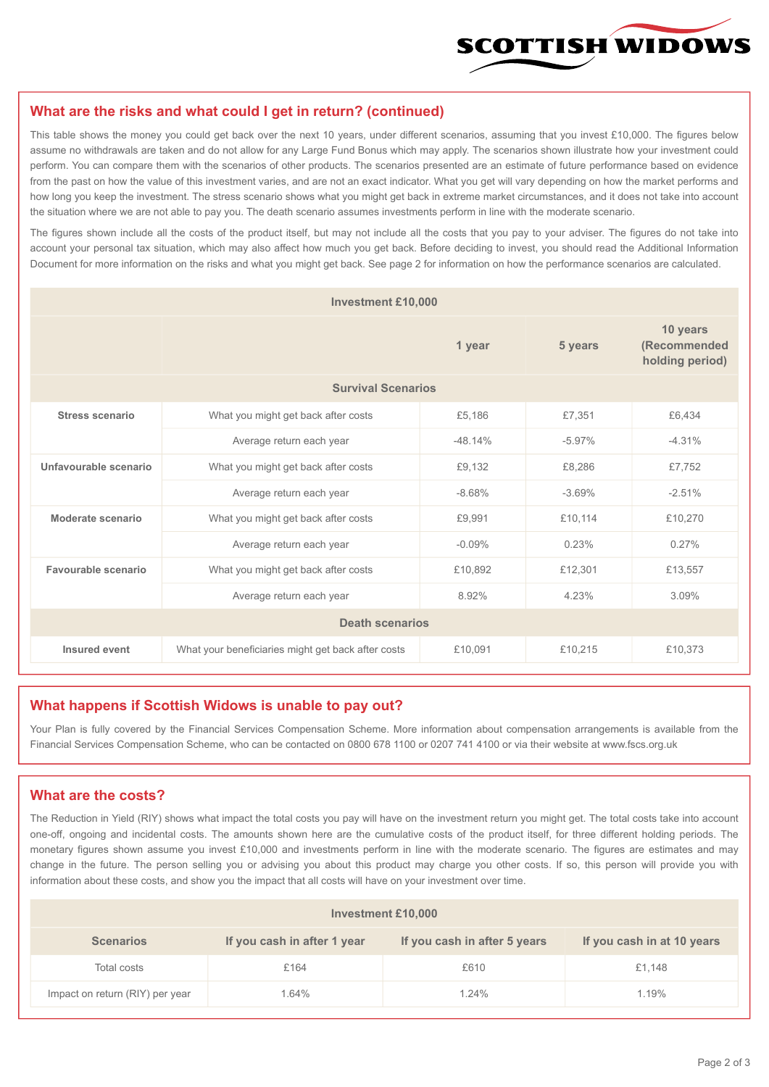

#### **What are the risks and what could I get in return? (continued)**

This table shows the money you could get back over the next 10 years, under different scenarios, assuming that you invest £10,000. The figures below assume no withdrawals are taken and do not allow for any Large Fund Bonus which may apply. The scenarios shown illustrate how your investment could perform. You can compare them with the scenarios of other products. The scenarios presented are an estimate of future performance based on evidence from the past on how the value of this investment varies, and are not an exact indicator. What you get will vary depending on how the market performs and how long you keep the investment. The stress scenario shows what you might get back in extreme market circumstances, and it does not take into account the situation where we are not able to pay you. The death scenario assumes investments perform in line with the moderate scenario.

The figures shown include all the costs of the product itself, but may not include all the costs that you pay to your adviser. The figures do not take into account your personal tax situation, which may also affect how much you get back. Before deciding to invest, you should read the Additional Information Document for more information on the risks and what you might get back. See page 2 for information on how the performance scenarios are calculated.

| <b>Investment £10,000</b> |                                                    |           |                                             |          |  |  |
|---------------------------|----------------------------------------------------|-----------|---------------------------------------------|----------|--|--|
|                           |                                                    | 5 years   | 10 years<br>(Recommended<br>holding period) |          |  |  |
| <b>Survival Scenarios</b> |                                                    |           |                                             |          |  |  |
| <b>Stress scenario</b>    | What you might get back after costs                | £5,186    | £7,351                                      | £6,434   |  |  |
|                           | Average return each year                           | $-48.14%$ | $-5.97%$                                    | $-4.31%$ |  |  |
| Unfavourable scenario     | What you might get back after costs                | £9,132    | £8,286                                      | £7,752   |  |  |
|                           | Average return each year                           | $-8.68%$  | $-3.69%$                                    | $-2.51%$ |  |  |
| Moderate scenario         | What you might get back after costs                | £9,991    | £10,114                                     | £10,270  |  |  |
|                           | Average return each year                           | $-0.09%$  | 0.23%                                       | 0.27%    |  |  |
| Favourable scenario       | What you might get back after costs                | £10,892   | £12,301                                     | £13,557  |  |  |
| Average return each year  |                                                    | 8.92%     | 4.23%                                       | 3.09%    |  |  |
| <b>Death scenarios</b>    |                                                    |           |                                             |          |  |  |
| Insured event             | What your beneficiaries might get back after costs | £10,091   | £10,215                                     | £10,373  |  |  |

#### **What happens if Scottish Widows is unable to pay out?**

Your Plan is fully covered by the Financial Services Compensation Scheme. More information about compensation arrangements is available from the Financial Services Compensation Scheme, who can be contacted on 0800 678 1100 or 0207 741 4100 or via their website at www.fscs.org.uk

# **What are the costs?**

The Reduction in Yield (RIY) shows what impact the total costs you pay will have on the investment return you might get. The total costs take into account one-off, ongoing and incidental costs. The amounts shown here are the cumulative costs of the product itself, for three different holding periods. The monetary figures shown assume you invest £10,000 and investments perform in line with the moderate scenario. The figures are estimates and may change in the future. The person selling you or advising you about this product may charge you other costs. If so, this person will provide you with information about these costs, and show you the impact that all costs will have on your investment over time.

| <b>Investment £10,000</b>       |                             |                              |                            |  |  |  |
|---------------------------------|-----------------------------|------------------------------|----------------------------|--|--|--|
| <b>Scenarios</b>                | If you cash in after 1 year | If you cash in after 5 years | If you cash in at 10 years |  |  |  |
| Total costs                     | £164                        | £610                         | £1,148                     |  |  |  |
| Impact on return (RIY) per year | 1.64%                       | 1.24%                        | 1.19%                      |  |  |  |